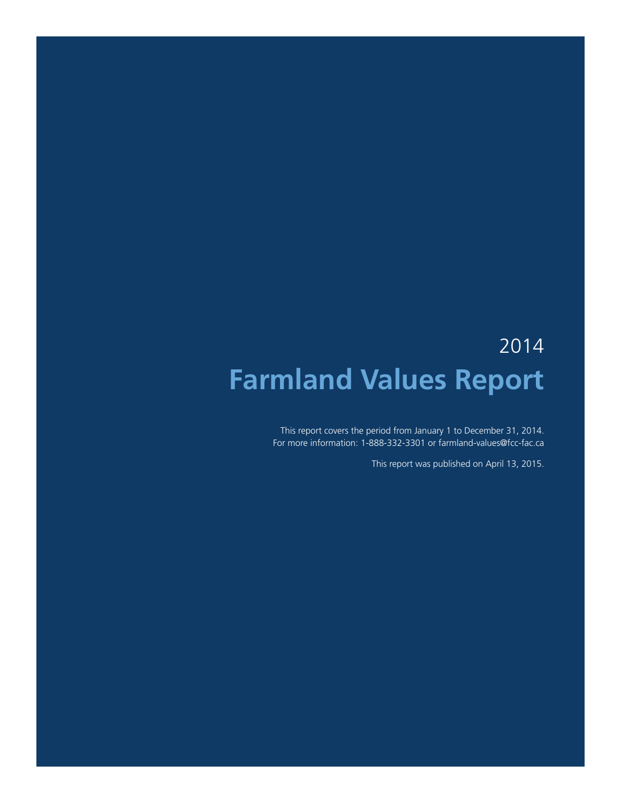# 2014 **Farmland Values Report**

This report covers the period from January 1 to December 31, 2014. For more information: 1-888-332-3301 or farmland-values@fcc-fac.ca

This report was published on April 13, 2015.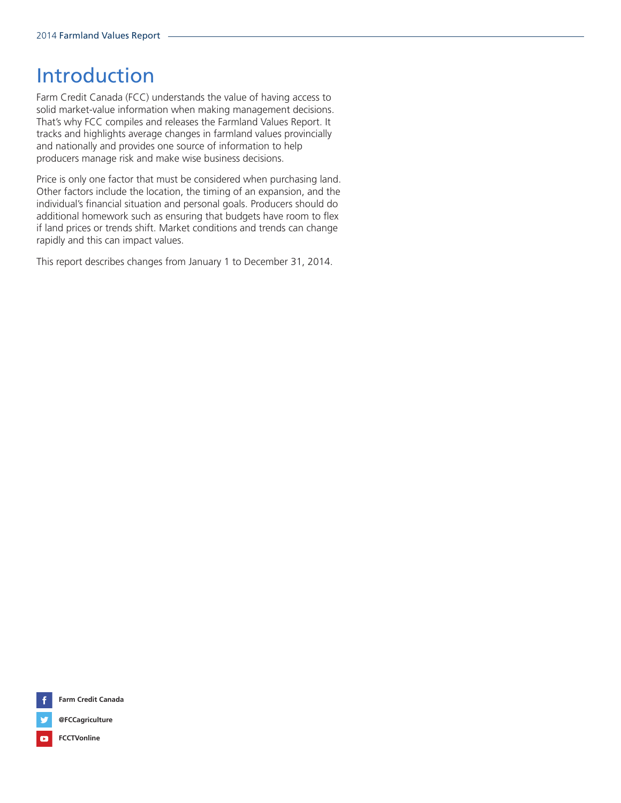# Introduction

Farm Credit Canada (FCC) understands the value of having access to solid market-value information when making management decisions. That's why FCC compiles and releases the Farmland Values Report. It tracks and highlights average changes in farmland values provincially and nationally and provides one source of information to help producers manage risk and make wise business decisions.

Price is only one factor that must be considered when purchasing land. Other factors include the location, the timing of an expansion, and the individual's financial situation and personal goals. Producers should do additional homework such as ensuring that budgets have room to flex if land prices or trends shift. Market conditions and trends can change rapidly and this can impact values.

This report describes changes from January 1 to December 31, 2014.



**Farm Credit Canada**



**FCCTVonline**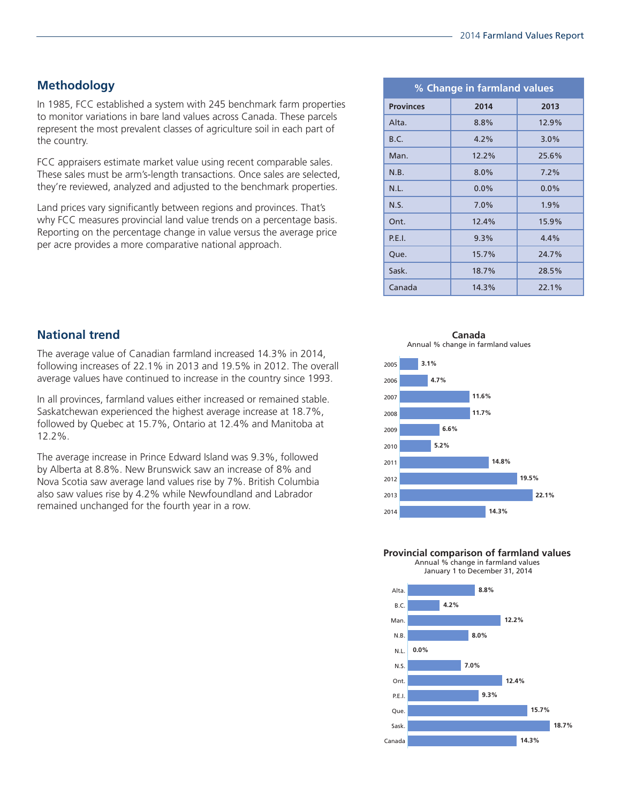# **Methodology**

In 1985, FCC established a system with 245 benchmark farm properties to monitor variations in bare land values across Canada. These parcels represent the most prevalent classes of agriculture soil in each part of the country.

FCC appraisers estimate market value using recent comparable sales. These sales must be arm's-length transactions. Once sales are selected, they're reviewed, analyzed and adjusted to the benchmark properties.

Land prices vary significantly between regions and provinces. That's why FCC measures provincial land value trends on a percentage basis. Reporting on the percentage change in value versus the average price per acre provides a more comparative national approach.

| % Change in farmland values |         |         |
|-----------------------------|---------|---------|
| <b>Provinces</b>            | 2014    | 2013    |
| Alta.                       | 8.8%    | 12.9%   |
| B.C.                        | 4.2%    | 3.0%    |
| Man.                        | 12.2%   | 25.6%   |
| N.B.                        | $8.0\%$ | $7.2\%$ |
| N.L.                        | $0.0\%$ | $0.0\%$ |
| N.S.                        | $7.0\%$ | 1.9%    |
| Ont.                        | 12.4%   | 15.9%   |
| P.E.I.                      | 9.3%    | 4.4%    |
| Que.                        | 15.7%   | 24.7%   |
| Sask.                       | 18.7%   | 28.5%   |
| Canada                      | 14.3%   | 22.1%   |

**National trend**

The average value of Canadian farmland increased 14.3% in 2014, following increases of 22.1% in 2013 and 19.5% in 2012. The overall average values have continued to increase in the country since 1993.

In all provinces, farmland values either increased or remained stable. Saskatchewan experienced the highest average increase at 18.7%, followed by Quebec at 15.7%, Ontario at 12.4% and Manitoba at 12.2%.

The average increase in Prince Edward Island was 9.3%, followed by Alberta at 8.8%. New Brunswick saw an increase of 8% and Nova Scotia saw average land values rise by 7%. British Columbia also saw values rise by 4.2% while Newfoundland and Labrador remained unchanged for the fourth year in a row.

**Canada** Annual % change in farmland values



**Provincial comparison of farmland values** Annual % change in farmland values



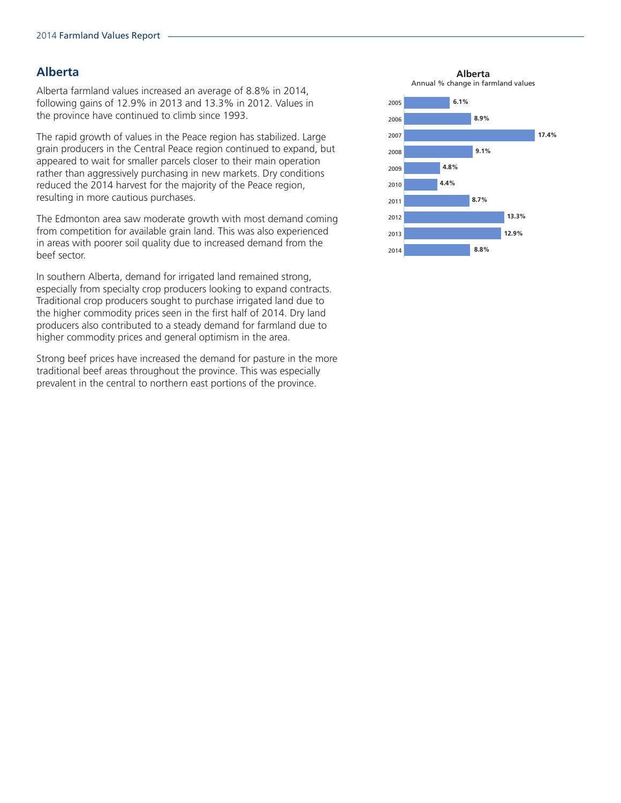# **Alberta**

Alberta farmland values increased an average of 8.8% in 2014, following gains of 12.9% in 2013 and 13.3% in 2012. Values in the province have continued to climb since 1993.

The rapid growth of values in the Peace region has stabilized. Large grain producers in the Central Peace region continued to expand, but appeared to wait for smaller parcels closer to their main operation rather than aggressively purchasing in new markets. Dry conditions reduced the 2014 harvest for the majority of the Peace region, resulting in more cautious purchases.

The Edmonton area saw moderate growth with most demand coming from competition for available grain land. This was also experienced in areas with poorer soil quality due to increased demand from the beef sector.

In southern Alberta, demand for irrigated land remained strong, especially from specialty crop producers looking to expand contracts. Traditional crop producers sought to purchase irrigated land due to the higher commodity prices seen in the first half of 2014. Dry land producers also contributed to a steady demand for farmland due to higher commodity prices and general optimism in the area.

Strong beef prices have increased the demand for pasture in the more traditional beef areas throughout the province. This was especially prevalent in the central to northern east portions of the province.

**Alberta** Annual % change in farmland values

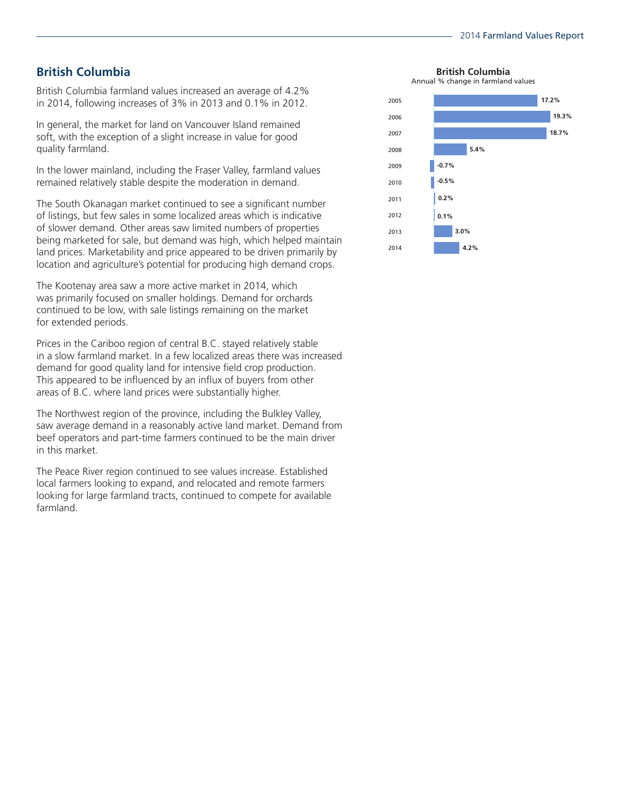# **British Columbia**

British Columbia farmland values increased an average of 4.2% in 2014, following increases of 3% in 2013 and 0.1% in 2012.

In general, the market for land on Vancouver Island remained soft, with the exception of a slight increase in value for good quality farmland.

In the lower mainland, including the Fraser Valley, farmland values remained relatively stable despite the moderation in demand.

The South Okanagan market continued to see a significant number of listings, but few sales in some localized areas which is indicative of slower demand. Other areas saw limited numbers of properties being marketed for sale, but demand was high, which helped maintain land prices. Marketability and price appeared to be driven primarily by location and agriculture's potential for producing high demand crops.

The Kootenay area saw a more active market in 2014, which was primarily focused on smaller holdings. Demand for orchards continued to be low, with sale listings remaining on the market for extended periods.

Prices in the Cariboo region of central B.C. stayed relatively stable in a slow farmland market. In a few localized areas there was increased demand for good quality land for intensive field crop production. This appeared to be influenced by an influx of buyers from other areas of B.C. where land prices were substantially higher.

The Northwest region of the province, including the Bulkley Valley, saw average demand in a reasonably active land market. Demand from beef operators and part-time farmers continued to be the main driver in this market.

The Peace River region continued to see values increase. Established local farmers looking to expand, and relocated and remote farmers looking for large farmland tracts, continued to compete for available farmland.

**British Columbia**

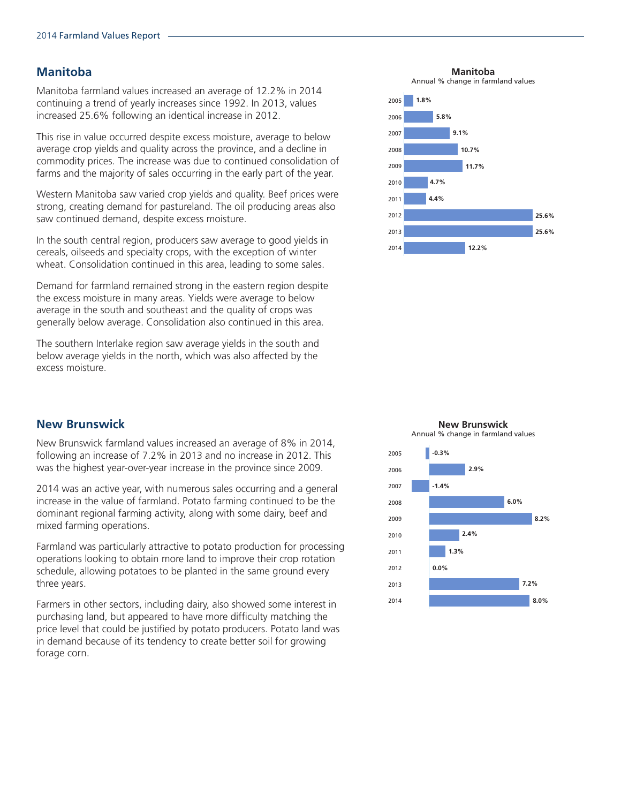#### **Manitoba**

Manitoba farmland values increased an average of 12.2% in 2014 continuing a trend of yearly increases since 1992. In 2013, values increased 25.6% following an identical increase in 2012.

This rise in value occurred despite excess moisture, average to below average crop yields and quality across the province, and a decline in commodity prices. The increase was due to continued consolidation of farms and the majority of sales occurring in the early part of the year.

Western Manitoba saw varied crop yields and quality. Beef prices were strong, creating demand for pastureland. The oil producing areas also saw continued demand, despite excess moisture.

In the south central region, producers saw average to good yields in cereals, oilseeds and specialty crops, with the exception of winter wheat. Consolidation continued in this area, leading to some sales.

Demand for farmland remained strong in the eastern region despite the excess moisture in many areas. Yields were average to below average in the south and southeast and the quality of crops was generally below average. Consolidation also continued in this area.

The southern Interlake region saw average yields in the south and below average yields in the north, which was also affected by the excess moisture.

### **New Brunswick**

New Brunswick farmland values increased an average of 8% in 2014, following an increase of 7.2% in 2013 and no increase in 2012. This was the highest year-over-year increase in the province since 2009.

2014 was an active year, with numerous sales occurring and a general increase in the value of farmland. Potato farming continued to be the dominant regional farming activity, along with some dairy, beef and mixed farming operations.

Farmland was particularly attractive to potato production for processing operations looking to obtain more land to improve their crop rotation schedule, allowing potatoes to be planted in the same ground every three years.

Farmers in other sectors, including dairy, also showed some interest in purchasing land, but appeared to have more difficulty matching the price level that could be justified by potato producers. Potato land was in demand because of its tendency to create better soil for growing forage corn.

**Manitoba**

Annual % change in farmland values





# **New Brunswick** Annual % change in farmland values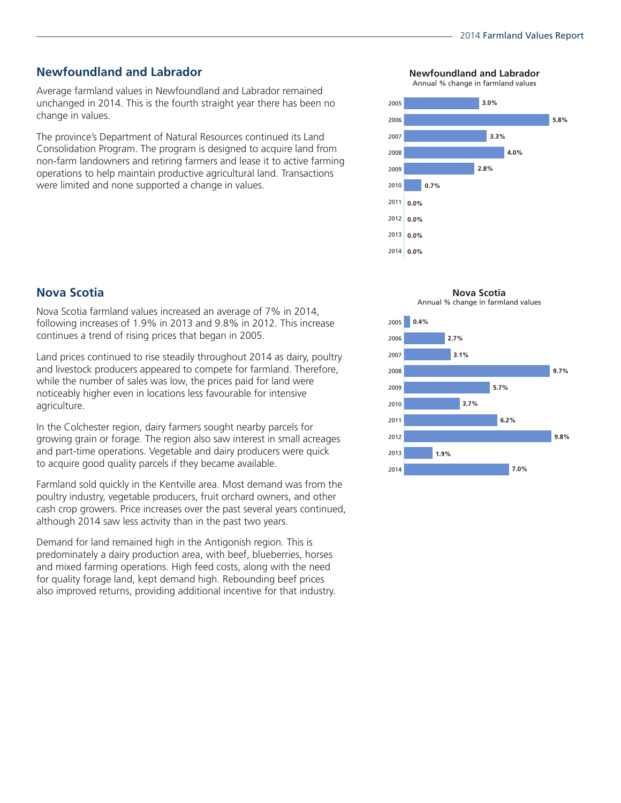# **Newfoundland and Labrador**

Average farmland values in Newfoundland and Labrador remained unchanged in 2014. This is the fourth straight year there has been no change in values.

The province's Department of Natural Resources continued its Land Consolidation Program. The program is designed to acquire land from non-farm landowners and retiring farmers and lease it to active farming operations to help maintain productive agricultural land. Transactions were limited and none supported a change in values.

# **Nova Scotia**

Nova Scotia farmland values increased an average of 7% in 2014, following increases of 1.9% in 2013 and 9.8% in 2012. This increase continues a trend of rising prices that began in 2005.

Land prices continued to rise steadily throughout 2014 as dairy, poultry and livestock producers appeared to compete for farmland. Therefore, while the number of sales was low, the prices paid for land were noticeably higher even in locations less favourable for intensive agriculture.

In the Colchester region, dairy farmers sought nearby parcels for growing grain or forage. The region also saw interest in small acreages and part-time operations. Vegetable and dairy producers were quick to acquire good quality parcels if they became available.

Farmland sold quickly in the Kentville area. Most demand was from the poultry industry, vegetable producers, fruit orchard owners, and other cash crop growers. Price increases over the past several years continued, although 2014 saw less activity than in the past two years.

Demand for land remained high in the Antigonish region. This is predominately a dairy production area, with beef, blueberries, horses and mixed farming operations. High feed costs, along with the need for quality forage land, kept demand high. Rebounding beef prices also improved returns, providing additional incentive for that industry.

**Newfoundland and Labrador**

Annual % change in farmland values





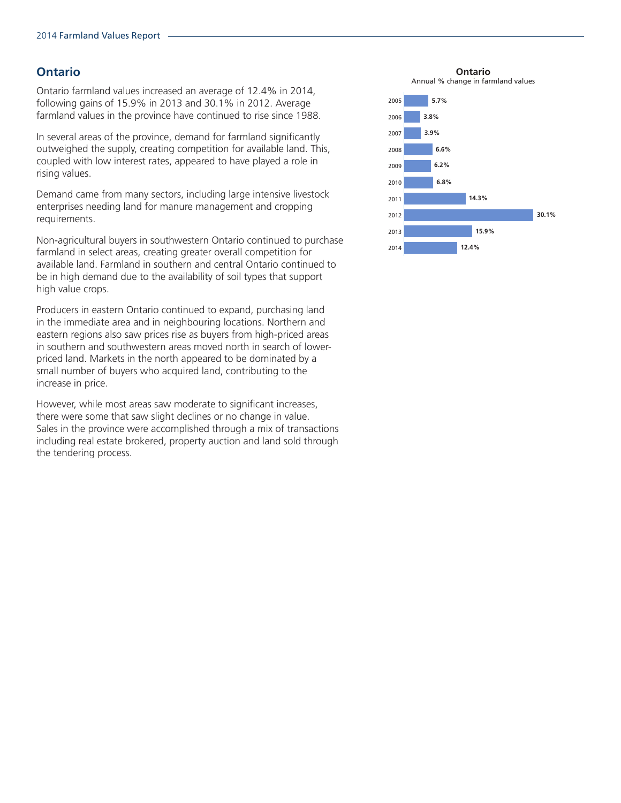# **Ontario**

Ontario farmland values increased an average of 12.4% in 2014, following gains of 15.9% in 2013 and 30.1% in 2012. Average farmland values in the province have continued to rise since 1988.

In several areas of the province, demand for farmland significantly outweighed the supply, creating competition for available land. This, coupled with low interest rates, appeared to have played a role in rising values.

Demand came from many sectors, including large intensive livestock enterprises needing land for manure management and cropping requirements.

Non-agricultural buyers in southwestern Ontario continued to purchase farmland in select areas, creating greater overall competition for available land. Farmland in southern and central Ontario continued to be in high demand due to the availability of soil types that support high value crops.

Producers in eastern Ontario continued to expand, purchasing land in the immediate area and in neighbouring locations. Northern and eastern regions also saw prices rise as buyers from high-priced areas in southern and southwestern areas moved north in search of lowerpriced land. Markets in the north appeared to be dominated by a small number of buyers who acquired land, contributing to the increase in price.

However, while most areas saw moderate to significant increases, there were some that saw slight declines or no change in value. Sales in the province were accomplished through a mix of transactions including real estate brokered, property auction and land sold through the tendering process.

**Ontario**

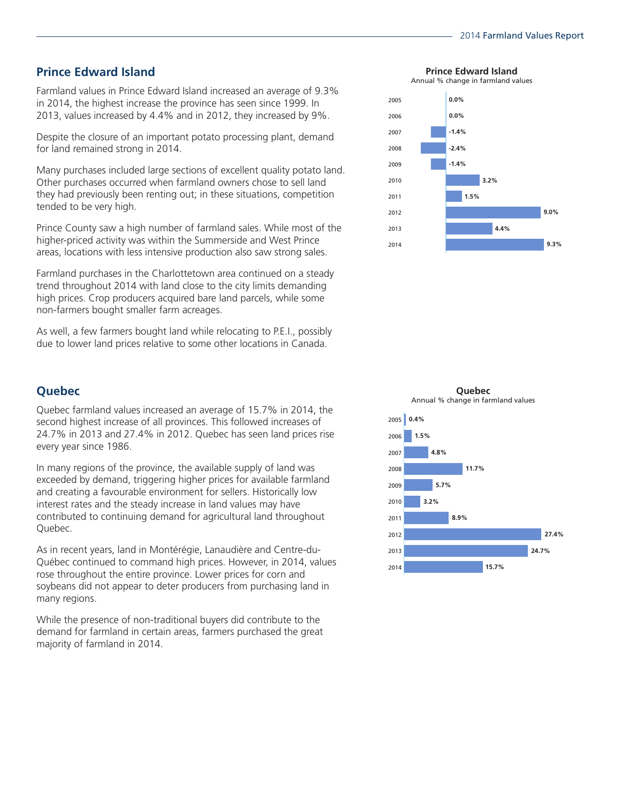# **Prince Edward Island**

Farmland values in Prince Edward Island increased an average of 9.3% in 2014, the highest increase the province has seen since 1999. In 2013, values increased by 4.4% and in 2012, they increased by 9%.

Despite the closure of an important potato processing plant, demand for land remained strong in 2014.

Many purchases included large sections of excellent quality potato land. Other purchases occurred when farmland owners chose to sell land they had previously been renting out; in these situations, competition tended to be very high.

Prince County saw a high number of farmland sales. While most of the higher-priced activity was within the Summerside and West Prince areas, locations with less intensive production also saw strong sales.

Farmland purchases in the Charlottetown area continued on a steady trend throughout 2014 with land close to the city limits demanding high prices. Crop producers acquired bare land parcels, while some non-farmers bought smaller farm acreages.

As well, a few farmers bought land while relocating to P.E.I., possibly due to lower land prices relative to some other locations in Canada.

# **Quebec**

Quebec farmland values increased an average of 15.7% in 2014, the second highest increase of all provinces. This followed increases of 24.7% in 2013 and 27.4% in 2012. Quebec has seen land prices rise every year since 1986.

In many regions of the province, the available supply of land was exceeded by demand, triggering higher prices for available farmland and creating a favourable environment for sellers. Historically low interest rates and the steady increase in land values may have contributed to continuing demand for agricultural land throughout Quebec.

As in recent years, land in Montérégie, Lanaudière and Centre-du-Québec continued to command high prices. However, in 2014, values rose throughout the entire province. Lower prices for corn and soybeans did not appear to deter producers from purchasing land in many regions.

While the presence of non-traditional buyers did contribute to the demand for farmland in certain areas, farmers purchased the great majority of farmland in 2014.

**Prince Edward Island**

Annual % change in farmland values





**Quebec**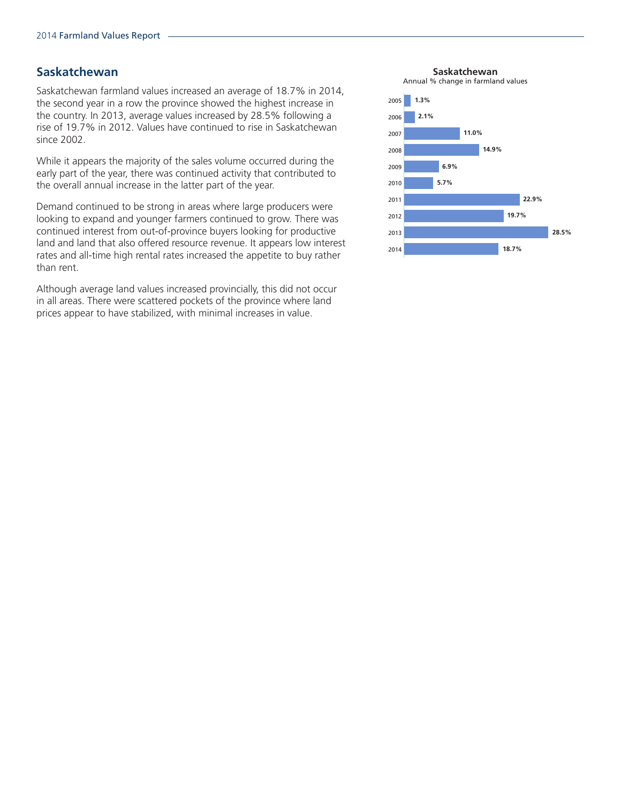#### **Saskatchewan**

Saskatchewan farmland values increased an average of 18.7% in 2014, the second year in a row the province showed the highest increase in the country. In 2013, average values increased by 28.5% following a rise of 19.7% in 2012. Values have continued to rise in Saskatchewan since 2002.

While it appears the majority of the sales volume occurred during the early part of the year, there was continued activity that contributed to the overall annual increase in the latter part of the year.

Demand continued to be strong in areas where large producers were looking to expand and younger farmers continued to grow. There was continued interest from out-of-province buyers looking for productive land and land that also offered resource revenue. It appears low interest rates and all-time high rental rates increased the appetite to buy rather than rent.

Although average land values increased provincially, this did not occur in all areas. There were scattered pockets of the province where land prices appear to have stabilized, with minimal increases in value.

**Saskatchewan**

Annual % change in farmland values

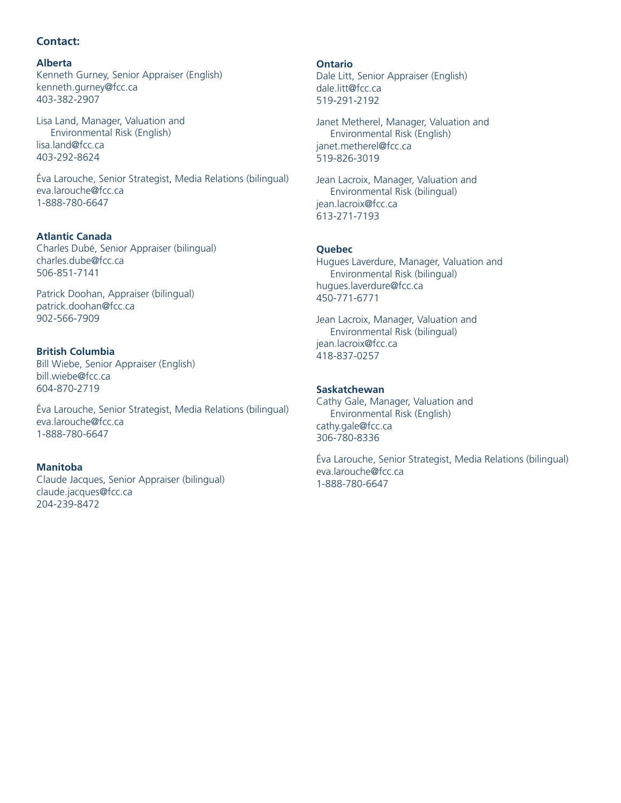### **Contact:**

#### **Alberta**

Kenneth Gurney, Senior Appraiser (English) kenneth.gurney@fcc.ca 403-382-2907

Lisa Land, Manager, Valuation and Environmental Risk (English) lisa.land@fcc.ca 403-292-8624

Éva Larouche, Senior Strategist, Media Relations (bilingual) eva.larouche@fcc.ca 1-888-780-6647

#### **Atlantic Canada**

Charles Dubé, Senior Appraiser (bilingual) charles.dube@fcc.ca 506-851-7141

Patrick Doohan, Appraiser (bilingual) patrick.doohan@fcc.ca 902-566-7909

### **British Columbia**

Bill Wiebe, Senior Appraiser (English) bill.wiebe@fcc.ca 604-870-2719

Éva Larouche, Senior Strategist, Media Relations (bilingual) eva.larouche@fcc.ca 1-888-780-6647

#### **Manitoba**

Claude Jacques, Senior Appraiser (bilingual) claude.jacques@fcc.ca 204-239-8472

**Ontario** Dale Litt, Senior Appraiser (English) dale.litt@fcc.ca 519-291-2192

Janet Metherel, Manager, Valuation and Environmental Risk (English) janet.metherel@fcc.ca 519-826-3019

Jean Lacroix, Manager, Valuation and Environmental Risk (bilingual) jean.lacroix@fcc.ca 613-271-7193

#### **Quebec**

Hugues Laverdure, Manager, Valuation and Environmental Risk (bilingual) hugues.laverdure@fcc.ca 450-771-6771

Jean Lacroix, Manager, Valuation and Environmental Risk (bilingual) jean.lacroix@fcc.ca 418-837-0257

#### **Saskatchewan**

Cathy Gale, Manager, Valuation and Environmental Risk (English) cathy.gale@fcc.ca 306-780-8336

Éva Larouche, Senior Strategist, Media Relations (bilingual) eva.larouche@fcc.ca 1-888-780-6647